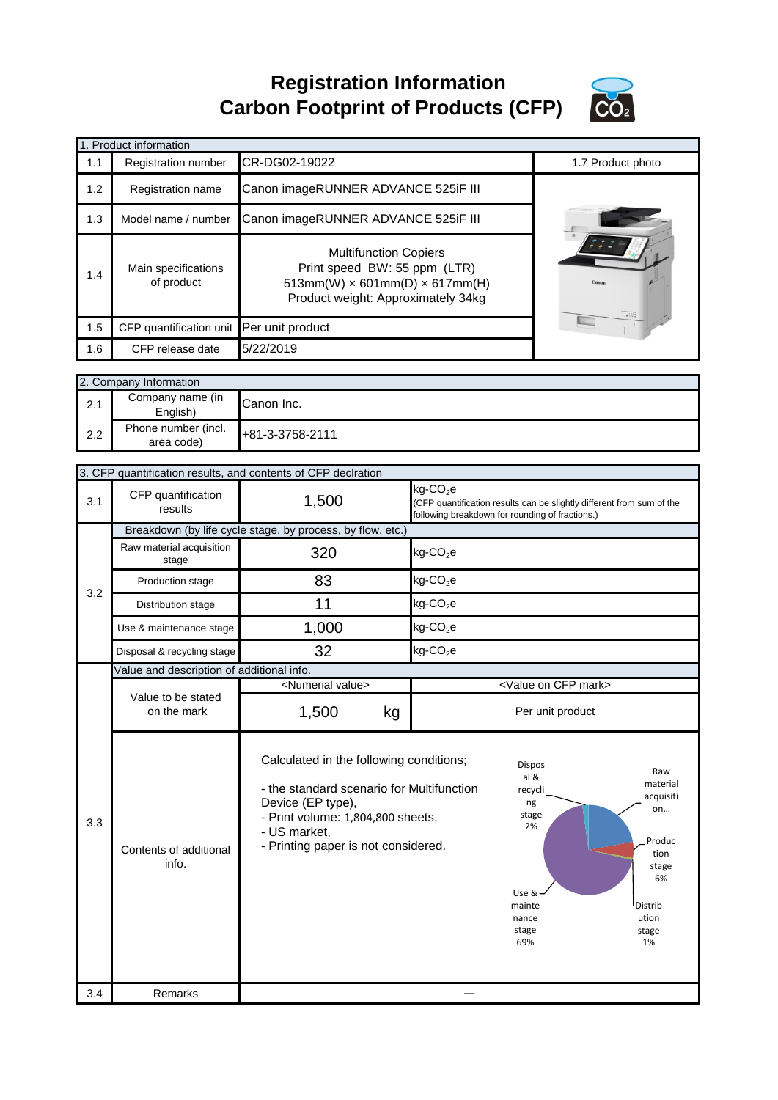**Registration Information Carbon Footprint of Products (CFP)**



|     |                                            | <b>Varbon i Votprint VI i Toudots (VI i 7</b>                                                                                                                                                         |                         |                                                                                                                                                     |
|-----|--------------------------------------------|-------------------------------------------------------------------------------------------------------------------------------------------------------------------------------------------------------|-------------------------|-----------------------------------------------------------------------------------------------------------------------------------------------------|
|     | 1. Product information                     |                                                                                                                                                                                                       |                         |                                                                                                                                                     |
| 1.1 | Registration number                        | CR-DG02-19022                                                                                                                                                                                         |                         | 1.7 Product photo                                                                                                                                   |
| 1.2 | Registration name                          | Canon imageRUNNER ADVANCE 525iF III                                                                                                                                                                   |                         |                                                                                                                                                     |
| 1.3 | Model name / number                        | Canon imageRUNNER ADVANCE 525iF III                                                                                                                                                                   |                         |                                                                                                                                                     |
| 1.4 | Main specifications<br>of product          | <b>Multifunction Copiers</b><br>Print speed BW: 55 ppm (LTR)<br>$513mm(W) \times 601mm(D) \times 617mm(H)$<br>Product weight: Approximately 34kg                                                      |                         |                                                                                                                                                     |
| 1.5 | CFP quantification unit                    | Per unit product                                                                                                                                                                                      |                         |                                                                                                                                                     |
| 1.6 | CFP release date                           | 5/22/2019                                                                                                                                                                                             |                         |                                                                                                                                                     |
|     |                                            |                                                                                                                                                                                                       |                         |                                                                                                                                                     |
|     | 2. Company Information<br>Company name (in |                                                                                                                                                                                                       |                         |                                                                                                                                                     |
| 2.1 | English)                                   | Canon Inc.                                                                                                                                                                                            |                         |                                                                                                                                                     |
| 2.2 | Phone number (incl.<br>area code)          | +81-3-3758-2111                                                                                                                                                                                       |                         |                                                                                                                                                     |
|     |                                            |                                                                                                                                                                                                       |                         |                                                                                                                                                     |
|     |                                            | 3. CFP quantification results, and contents of CFP declration                                                                                                                                         | $kg$ -CO <sub>2</sub> e |                                                                                                                                                     |
| 3.1 | CFP quantification<br>results              | 1,500                                                                                                                                                                                                 |                         | (CFP quantification results can be slightly different from sum of the<br>following breakdown for rounding of fractions.)                            |
|     |                                            | Breakdown (by life cycle stage, by process, by flow, etc.)                                                                                                                                            |                         |                                                                                                                                                     |
|     | Raw material acquisition<br>stage          | 320                                                                                                                                                                                                   | $kg$ -CO <sub>2</sub> e |                                                                                                                                                     |
|     | Production stage                           | 83                                                                                                                                                                                                    | $kg$ -CO <sub>2</sub> e |                                                                                                                                                     |
| 3.2 | Distribution stage                         | 11                                                                                                                                                                                                    | $kg$ -CO <sub>2</sub> e |                                                                                                                                                     |
|     | Use & maintenance stage                    | 1,000                                                                                                                                                                                                 | $kg$ -CO <sub>2</sub> e |                                                                                                                                                     |
|     | Disposal & recycling stage                 | 32                                                                                                                                                                                                    | $kg$ -CO <sub>2</sub> e |                                                                                                                                                     |
|     | Value and description of additional info.  |                                                                                                                                                                                                       |                         |                                                                                                                                                     |
|     | Value to be stated                         | <numerial value=""></numerial>                                                                                                                                                                        |                         | <value cfp="" mark="" on=""></value>                                                                                                                |
|     | on the mark                                | 1,500<br>kg                                                                                                                                                                                           |                         | Per unit product                                                                                                                                    |
| 3.3 | Contents of additional<br>info.            | Calculated in the following conditions;<br>- the standard scenario for Multifunction<br>Device (EP type),<br>- Print volume: 1,804,800 sheets,<br>- US market,<br>- Printing paper is not considered. |                         | Dispos<br>Raw<br>al &<br>material<br>recycli<br>acquisiti<br>ng<br>on<br>stage<br>2%<br>Produc<br>tion<br>stage<br>6%<br>Use &<br>Distrib<br>mainte |

―

stage 69%

stage 1%

3.4 Remarks